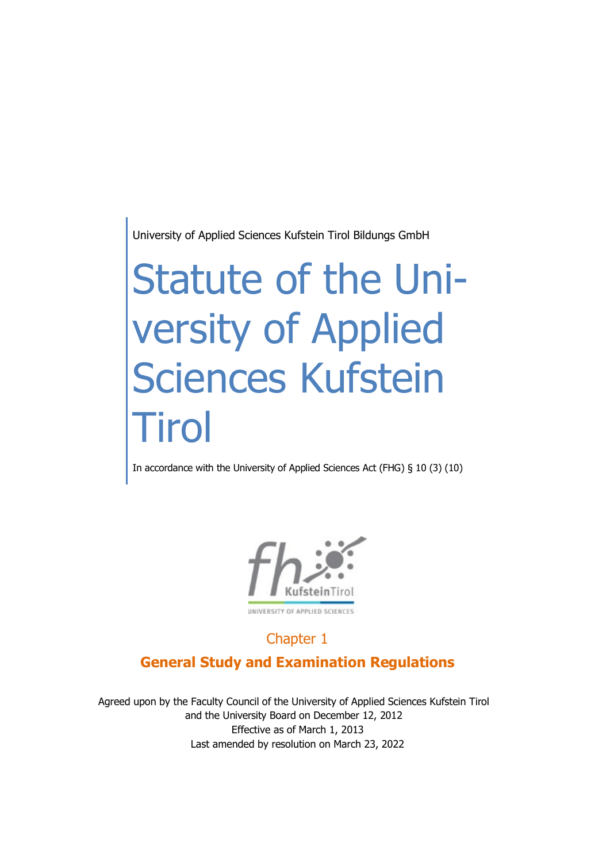University of Applied Sciences Kufstein Tirol Bildungs GmbH

# Statute of the University of Applied Sciences Kufstein **Tirol**

In accordance with the University of Applied Sciences Act (FHG) § 10 (3) (10)



# Chapter 1 **General Study and Examination Regulations**

Agreed upon by the Faculty Council of the University of Applied Sciences Kufstein Tirol and the University Board on December 12, 2012 Effective as of March 1, 2013 Last amended by resolution on March 23, 2022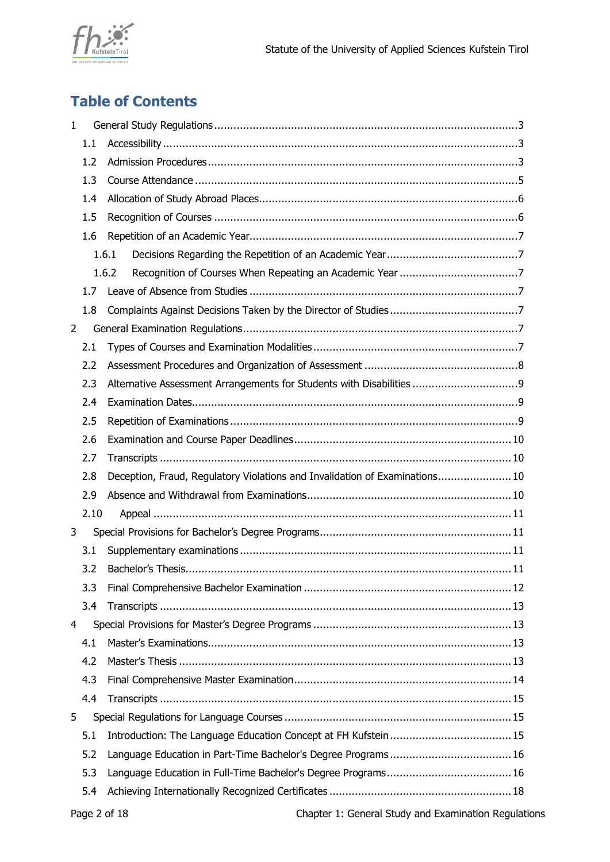

# **Table of Contents**

| 1              |      |                                                                             |  |  |
|----------------|------|-----------------------------------------------------------------------------|--|--|
|                | 1.1  |                                                                             |  |  |
|                | 1.2  |                                                                             |  |  |
|                | 1.3  |                                                                             |  |  |
|                | 1.4  |                                                                             |  |  |
|                | 1.5  |                                                                             |  |  |
|                | 1.6  |                                                                             |  |  |
|                |      | 1.6.1                                                                       |  |  |
|                |      | 1.6.2                                                                       |  |  |
|                | 1.7  |                                                                             |  |  |
|                | 1.8  |                                                                             |  |  |
| $\overline{2}$ |      |                                                                             |  |  |
|                | 2.1  |                                                                             |  |  |
|                | 2.2  |                                                                             |  |  |
|                | 2.3  |                                                                             |  |  |
|                | 2.4  |                                                                             |  |  |
|                | 2.5  |                                                                             |  |  |
|                | 2.6  |                                                                             |  |  |
|                | 2.7  |                                                                             |  |  |
|                | 2.8  | Deception, Fraud, Regulatory Violations and Invalidation of Examinations 10 |  |  |
|                | 2.9  |                                                                             |  |  |
|                | 2.10 |                                                                             |  |  |
| 3              |      |                                                                             |  |  |
|                | 3.1  |                                                                             |  |  |
|                | 3.2  |                                                                             |  |  |
|                | 3.3  |                                                                             |  |  |
|                | 3.4  |                                                                             |  |  |
| 4              |      |                                                                             |  |  |
|                | 4.1  |                                                                             |  |  |
|                | 4.2  |                                                                             |  |  |
|                | 4.3  |                                                                             |  |  |
|                | 4.4  |                                                                             |  |  |
| 5              |      |                                                                             |  |  |
|                | 5.1  |                                                                             |  |  |
|                | 5.2  |                                                                             |  |  |
|                | 5.3  |                                                                             |  |  |
|                | 5.4  |                                                                             |  |  |
|                |      |                                                                             |  |  |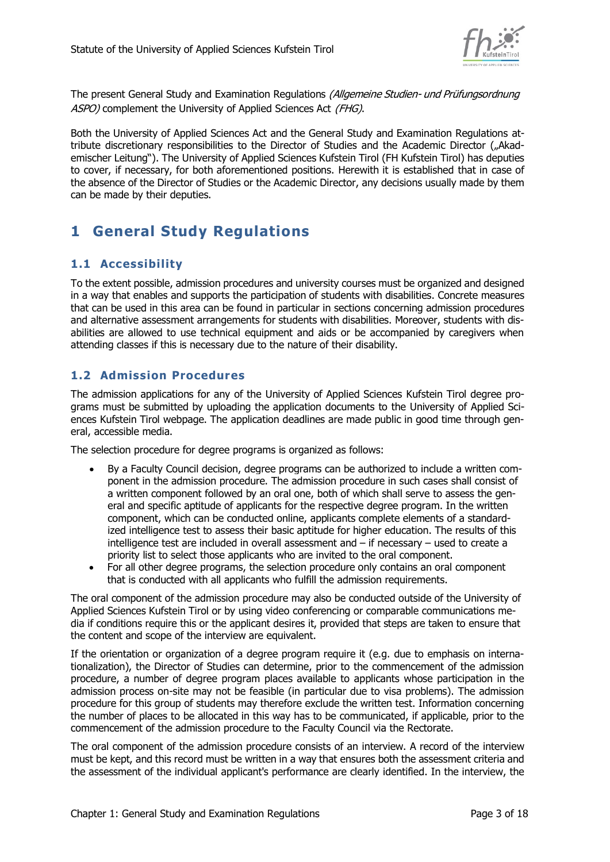

The present General Study and Examination Regulations (Allgemeine Studien- und Prüfungsordnung ASPO) complement the University of Applied Sciences Act (FHG).

Both the University of Applied Sciences Act and the General Study and Examination Regulations attribute discretionary responsibilities to the Director of Studies and the Academic Director ("Akademischer Leitung"). The University of Applied Sciences Kufstein Tirol (FH Kufstein Tirol) has deputies to cover, if necessary, for both aforementioned positions. Herewith it is established that in case of the absence of the Director of Studies or the Academic Director, any decisions usually made by them can be made by their deputies.

## <span id="page-2-0"></span>**1 General Study Regulations**

## <span id="page-2-1"></span>**1.1 Accessibility**

To the extent possible, admission procedures and university courses must be organized and designed in a way that enables and supports the participation of students with disabilities. Concrete measures that can be used in this area can be found in particular in sections concerning admission procedures and alternative assessment arrangements for students with disabilities. Moreover, students with disabilities are allowed to use technical equipment and aids or be accompanied by caregivers when attending classes if this is necessary due to the nature of their disability.

## <span id="page-2-2"></span>**1.2 Admission Procedures**

The admission applications for any of the University of Applied Sciences Kufstein Tirol degree programs must be submitted by uploading the application documents to the University of Applied Sciences Kufstein Tirol webpage. The application deadlines are made public in good time through general, accessible media.

The selection procedure for degree programs is organized as follows:

- By a Faculty Council decision, degree programs can be authorized to include a written component in the admission procedure. The admission procedure in such cases shall consist of a written component followed by an oral one, both of which shall serve to assess the general and specific aptitude of applicants for the respective degree program. In the written component, which can be conducted online, applicants complete elements of a standardized intelligence test to assess their basic aptitude for higher education. The results of this intelligence test are included in overall assessment and – if necessary – used to create a priority list to select those applicants who are invited to the oral component.
- For all other degree programs, the selection procedure only contains an oral component that is conducted with all applicants who fulfill the admission requirements.

The oral component of the admission procedure may also be conducted outside of the University of Applied Sciences Kufstein Tirol or by using video conferencing or comparable communications media if conditions require this or the applicant desires it, provided that steps are taken to ensure that the content and scope of the interview are equivalent.

If the orientation or organization of a degree program require it (e.g. due to emphasis on internationalization), the Director of Studies can determine, prior to the commencement of the admission procedure, a number of degree program places available to applicants whose participation in the admission process on-site may not be feasible (in particular due to visa problems). The admission procedure for this group of students may therefore exclude the written test. Information concerning the number of places to be allocated in this way has to be communicated, if applicable, prior to the commencement of the admission procedure to the Faculty Council via the Rectorate.

The oral component of the admission procedure consists of an interview. A record of the interview must be kept, and this record must be written in a way that ensures both the assessment criteria and the assessment of the individual applicant's performance are clearly identified. In the interview, the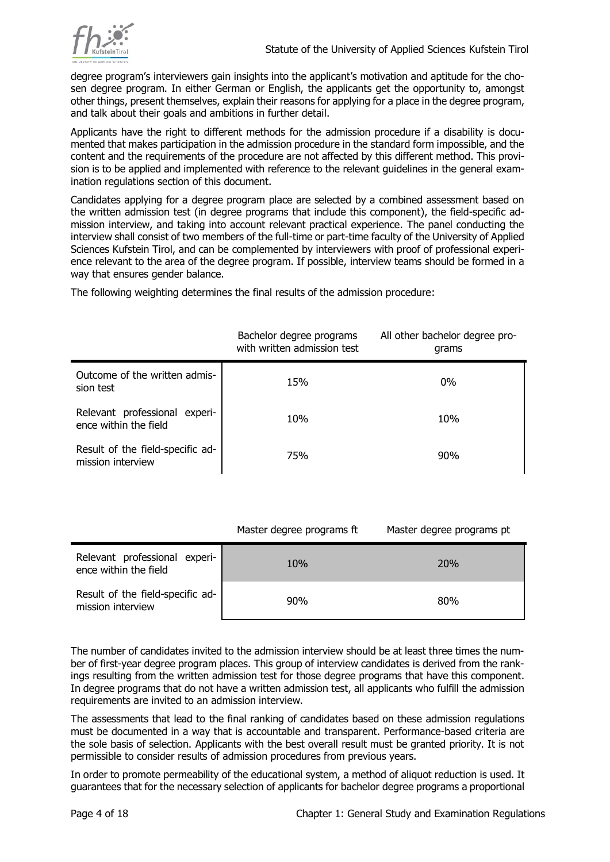

degree program's interviewers gain insights into the applicant's motivation and aptitude for the chosen degree program. In either German or English, the applicants get the opportunity to, amongst other things, present themselves, explain their reasons for applying for a place in the degree program, and talk about their goals and ambitions in further detail.

Applicants have the right to different methods for the admission procedure if a disability is documented that makes participation in the admission procedure in the standard form impossible, and the content and the requirements of the procedure are not affected by this different method. This provision is to be applied and implemented with reference to the relevant guidelines in the general examination regulations section of this document.

Candidates applying for a degree program place are selected by a combined assessment based on the written admission test (in degree programs that include this component), the field-specific admission interview, and taking into account relevant practical experience. The panel conducting the interview shall consist of two members of the full-time or part-time faculty of the University of Applied Sciences Kufstein Tirol, and can be complemented by interviewers with proof of professional experience relevant to the area of the degree program. If possible, interview teams should be formed in a way that ensures gender balance.

The following weighting determines the final results of the admission procedure:

|                                                        | Bachelor degree programs<br>with written admission test | All other bachelor degree pro-<br>grams |
|--------------------------------------------------------|---------------------------------------------------------|-----------------------------------------|
| Outcome of the written admis-<br>sion test             | 15%                                                     | $0\%$                                   |
| Relevant professional experi-<br>ence within the field | 10%                                                     | 10%                                     |
| Result of the field-specific ad-<br>mission interview  | 75%                                                     | 90%                                     |

| Master degree programs ft | Master degree programs pt |
|---------------------------|---------------------------|
|                           |                           |

| Relevant professional experi-<br>ence within the field | 10% | <b>20%</b> |
|--------------------------------------------------------|-----|------------|
| Result of the field-specific ad-<br>mission interview  | 90% | 80%        |

The number of candidates invited to the admission interview should be at least three times the number of first-year degree program places. This group of interview candidates is derived from the rankings resulting from the written admission test for those degree programs that have this component. In degree programs that do not have a written admission test, all applicants who fulfill the admission requirements are invited to an admission interview.

The assessments that lead to the final ranking of candidates based on these admission regulations must be documented in a way that is accountable and transparent. Performance-based criteria are the sole basis of selection. Applicants with the best overall result must be granted priority. It is not permissible to consider results of admission procedures from previous years.

In order to promote permeability of the educational system, a method of aliquot reduction is used. It guarantees that for the necessary selection of applicants for bachelor degree programs a proportional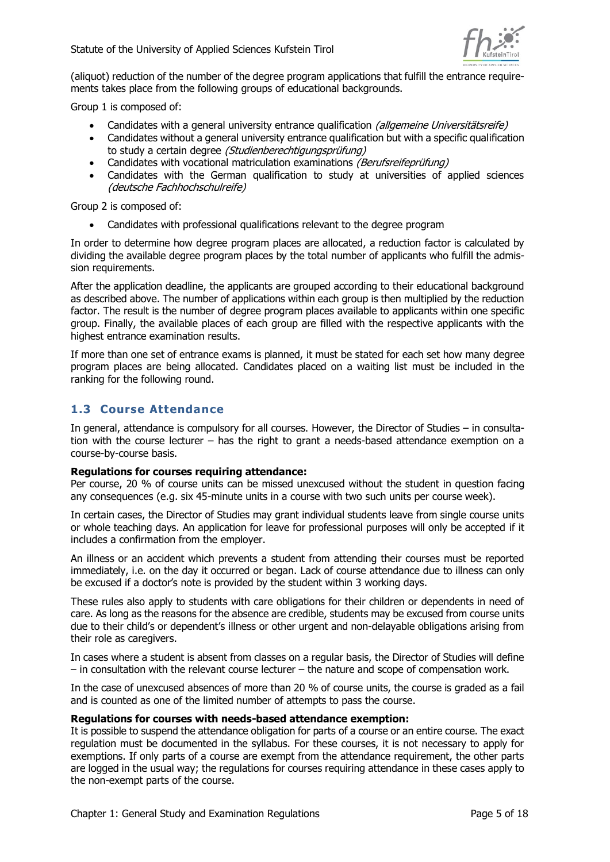

(aliquot) reduction of the number of the degree program applications that fulfill the entrance requirements takes place from the following groups of educational backgrounds.

Group 1 is composed of:

- Candidates with a general university entrance qualification (allgemeine Universitätsreife)
- Candidates without a general university entrance qualification but with a specific qualification to study a certain degree (Studienberechtigungsprüfung)
- Candidates with vocational matriculation examinations (Berufsreifeprüfung)
- Candidates with the German qualification to study at universities of applied sciences (deutsche Fachhochschulreife)

Group 2 is composed of:

• Candidates with professional qualifications relevant to the degree program

In order to determine how degree program places are allocated, a reduction factor is calculated by dividing the available degree program places by the total number of applicants who fulfill the admission requirements.

After the application deadline, the applicants are grouped according to their educational background as described above. The number of applications within each group is then multiplied by the reduction factor. The result is the number of degree program places available to applicants within one specific group. Finally, the available places of each group are filled with the respective applicants with the highest entrance examination results.

If more than one set of entrance exams is planned, it must be stated for each set how many degree program places are being allocated. Candidates placed on a waiting list must be included in the ranking for the following round.

#### <span id="page-4-0"></span>**1.3 Course Attendance**

In general, attendance is compulsory for all courses. However, the Director of Studies – in consultation with the course lecturer – has the right to grant a needs-based attendance exemption on a course-by-course basis.

#### **Regulations for courses requiring attendance:**

Per course, 20 % of course units can be missed unexcused without the student in question facing any consequences (e.g. six 45-minute units in a course with two such units per course week).

In certain cases, the Director of Studies may grant individual students leave from single course units or whole teaching days. An application for leave for professional purposes will only be accepted if it includes a confirmation from the employer.

An illness or an accident which prevents a student from attending their courses must be reported immediately, i.e. on the day it occurred or began. Lack of course attendance due to illness can only be excused if a doctor's note is provided by the student within 3 working days.

These rules also apply to students with care obligations for their children or dependents in need of care. As long as the reasons for the absence are credible, students may be excused from course units due to their child's or dependent's illness or other urgent and non-delayable obligations arising from their role as caregivers.

In cases where a student is absent from classes on a regular basis, the Director of Studies will define – in consultation with the relevant course lecturer – the nature and scope of compensation work.

In the case of unexcused absences of more than 20 % of course units, the course is graded as a fail and is counted as one of the limited number of attempts to pass the course.

#### **Regulations for courses with needs-based attendance exemption:**

It is possible to suspend the attendance obligation for parts of a course or an entire course. The exact regulation must be documented in the syllabus. For these courses, it is not necessary to apply for exemptions. If only parts of a course are exempt from the attendance requirement, the other parts are logged in the usual way; the regulations for courses requiring attendance in these cases apply to the non-exempt parts of the course.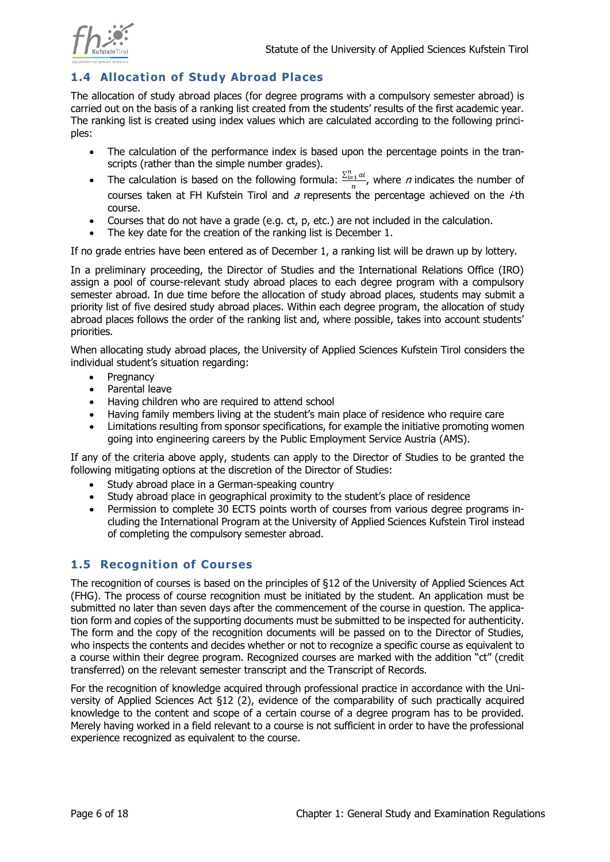

## <span id="page-5-0"></span>**1.4 Allocation of Study Abroad Places**

The allocation of study abroad places (for degree programs with a compulsory semester abroad) is carried out on the basis of a ranking list created from the students' results of the first academic year. The ranking list is created using index values which are calculated according to the following principles:

- The calculation of the performance index is based upon the percentage points in the transcripts (rather than the simple number grades).
- The calculation is based on the following formula:  $\frac{\sum_{i=1}^{n} a_i}{\sum_{i=1}^{n} a_i}$  $\frac{1}{n}$ , where *n* indicates the number of courses taken at FH Kufstein Tirol and  $a$  represents the percentage achieved on the  $\dot{+}$ th course.
- Courses that do not have a grade (e.g. ct, p, etc.) are not included in the calculation.
- The key date for the creation of the ranking list is December 1.

If no grade entries have been entered as of December 1, a ranking list will be drawn up by lottery.

In a preliminary proceeding, the Director of Studies and the International Relations Office (IRO) assign a pool of course-relevant study abroad places to each degree program with a compulsory semester abroad. In due time before the allocation of study abroad places, students may submit a priority list of five desired study abroad places. Within each degree program, the allocation of study abroad places follows the order of the ranking list and, where possible, takes into account students' priorities.

When allocating study abroad places, the University of Applied Sciences Kufstein Tirol considers the individual student's situation regarding:

- Pregnancy
- Parental leave
- Having children who are required to attend school
- Having family members living at the student's main place of residence who require care
- Limitations resulting from sponsor specifications, for example the initiative promoting women going into engineering careers by the Public Employment Service Austria (AMS).

If any of the criteria above apply, students can apply to the Director of Studies to be granted the following mitigating options at the discretion of the Director of Studies:

- Study abroad place in a German-speaking country
- Study abroad place in geographical proximity to the student's place of residence
- Permission to complete 30 ECTS points worth of courses from various degree programs including the International Program at the University of Applied Sciences Kufstein Tirol instead of completing the compulsory semester abroad.

## <span id="page-5-1"></span>**1.5 Recognition of Courses**

The recognition of courses is based on the principles of §12 of the University of Applied Sciences Act (FHG). The process of course recognition must be initiated by the student. An application must be submitted no later than seven days after the commencement of the course in question. The application form and copies of the supporting documents must be submitted to be inspected for authenticity. The form and the copy of the recognition documents will be passed on to the Director of Studies, who inspects the contents and decides whether or not to recognize a specific course as equivalent to a course within their degree program. Recognized courses are marked with the addition "ct" (credit transferred) on the relevant semester transcript and the Transcript of Records.

For the recognition of knowledge acquired through professional practice in accordance with the University of Applied Sciences Act §12 (2), evidence of the comparability of such practically acquired knowledge to the content and scope of a certain course of a degree program has to be provided. Merely having worked in a field relevant to a course is not sufficient in order to have the professional experience recognized as equivalent to the course.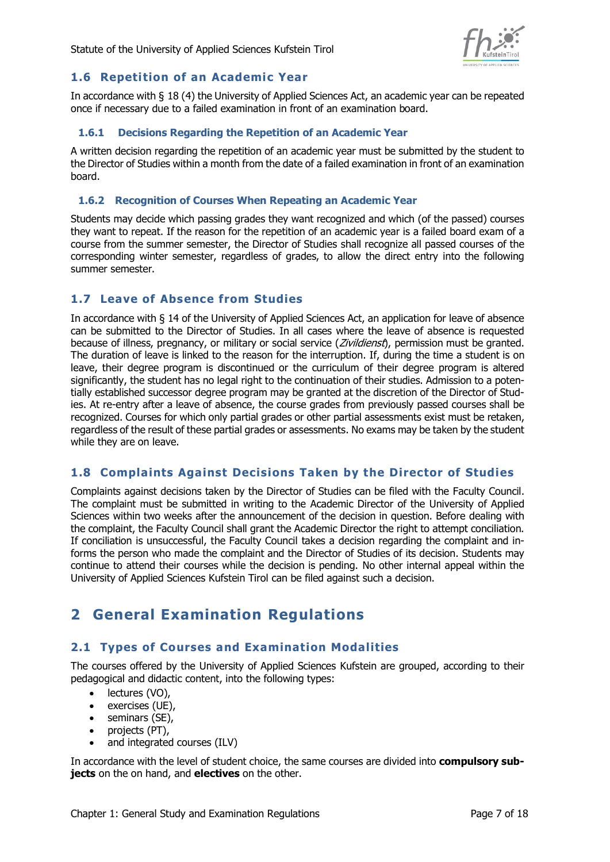

#### <span id="page-6-0"></span>**1.6 Repetition of an Academic Year**

In accordance with § 18 (4) the University of Applied Sciences Act, an academic year can be repeated once if necessary due to a failed examination in front of an examination board.

#### <span id="page-6-1"></span>**1.6.1 Decisions Regarding the Repetition of an Academic Year**

A written decision regarding the repetition of an academic year must be submitted by the student to the Director of Studies within a month from the date of a failed examination in front of an examination board.

#### <span id="page-6-2"></span>**1.6.2 Recognition of Courses When Repeating an Academic Year**

Students may decide which passing grades they want recognized and which (of the passed) courses they want to repeat. If the reason for the repetition of an academic year is a failed board exam of a course from the summer semester, the Director of Studies shall recognize all passed courses of the corresponding winter semester, regardless of grades, to allow the direct entry into the following summer semester.

#### <span id="page-6-3"></span>**1.7 Leave of Absence from Studies**

In accordance with § 14 of the University of Applied Sciences Act, an application for leave of absence can be submitted to the Director of Studies. In all cases where the leave of absence is requested because of illness, pregnancy, or military or social service (Zivildienst), permission must be granted. The duration of leave is linked to the reason for the interruption. If, during the time a student is on leave, their degree program is discontinued or the curriculum of their degree program is altered significantly, the student has no legal right to the continuation of their studies. Admission to a potentially established successor degree program may be granted at the discretion of the Director of Studies. At re-entry after a leave of absence, the course grades from previously passed courses shall be recognized. Courses for which only partial grades or other partial assessments exist must be retaken, regardless of the result of these partial grades or assessments. No exams may be taken by the student while they are on leave.

## <span id="page-6-4"></span>**1.8 Complaints Against Decisions Taken by the Director of Studies**

Complaints against decisions taken by the Director of Studies can be filed with the Faculty Council. The complaint must be submitted in writing to the Academic Director of the University of Applied Sciences within two weeks after the announcement of the decision in question. Before dealing with the complaint, the Faculty Council shall grant the Academic Director the right to attempt conciliation. If conciliation is unsuccessful, the Faculty Council takes a decision regarding the complaint and informs the person who made the complaint and the Director of Studies of its decision. Students may continue to attend their courses while the decision is pending. No other internal appeal within the University of Applied Sciences Kufstein Tirol can be filed against such a decision.

# <span id="page-6-5"></span>**2 General Examination Regulations**

#### <span id="page-6-6"></span>**2.1 Types of Courses and Examination Modalities**

The courses offered by the University of Applied Sciences Kufstein are grouped, according to their pedagogical and didactic content, into the following types:

- lectures (VO),
- exercises (UE),
- seminars (SE),
- projects (PT),
- and integrated courses (ILV)

In accordance with the level of student choice, the same courses are divided into **compulsory subjects** on the on hand, and **electives** on the other.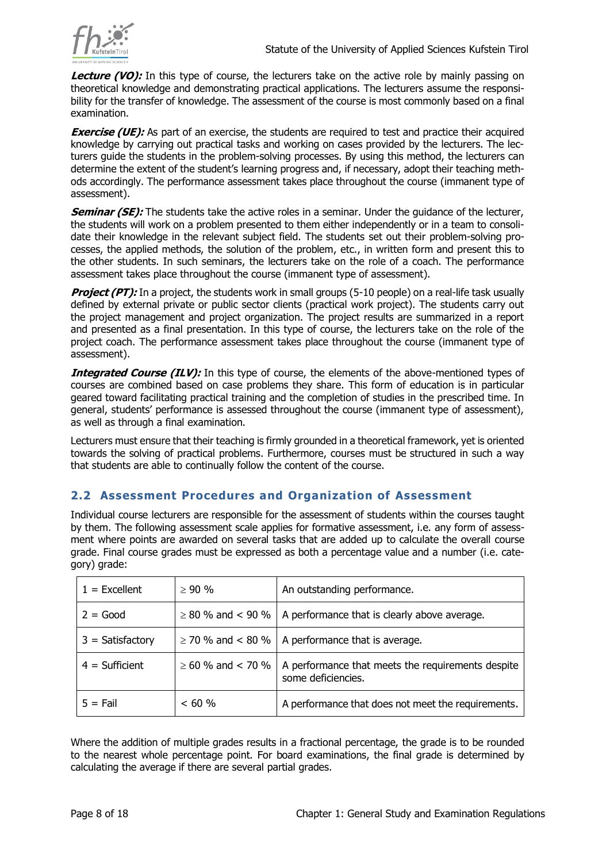

**Lecture (VO):** In this type of course, the lecturers take on the active role by mainly passing on theoretical knowledge and demonstrating practical applications. The lecturers assume the responsibility for the transfer of knowledge. The assessment of the course is most commonly based on a final examination.

**Exercise (UE):** As part of an exercise, the students are required to test and practice their acquired knowledge by carrying out practical tasks and working on cases provided by the lecturers. The lecturers guide the students in the problem-solving processes. By using this method, the lecturers can determine the extent of the student's learning progress and, if necessary, adopt their teaching methods accordingly. The performance assessment takes place throughout the course (immanent type of assessment).

**Seminar (SE):** The students take the active roles in a seminar. Under the quidance of the lecturer, the students will work on a problem presented to them either independently or in a team to consolidate their knowledge in the relevant subject field. The students set out their problem-solving processes, the applied methods, the solution of the problem, etc., in written form and present this to the other students. In such seminars, the lecturers take on the role of a coach. The performance assessment takes place throughout the course (immanent type of assessment).

**Project (PT):** In a project, the students work in small groups (5-10 people) on a real-life task usually defined by external private or public sector clients (practical work project). The students carry out the project management and project organization. The project results are summarized in a report and presented as a final presentation. In this type of course, the lecturers take on the role of the project coach. The performance assessment takes place throughout the course (immanent type of assessment).

**Integrated Course (ILV):** In this type of course, the elements of the above-mentioned types of courses are combined based on case problems they share. This form of education is in particular geared toward facilitating practical training and the completion of studies in the prescribed time. In general, students' performance is assessed throughout the course (immanent type of assessment), as well as through a final examination.

Lecturers must ensure that their teaching is firmly grounded in a theoretical framework, yet is oriented towards the solving of practical problems. Furthermore, courses must be structured in such a way that students are able to continually follow the content of the course.

#### <span id="page-7-0"></span>**2.2 Assessment Procedures and Organization of Assessment**

Individual course lecturers are responsible for the assessment of students within the courses taught by them. The following assessment scale applies for formative assessment, i.e. any form of assessment where points are awarded on several tasks that are added up to calculate the overall course grade. Final course grades must be expressed as both a percentage value and a number (i.e. category) grade:

| $1 =$ Excellent    | $> 90 \%$              | An outstanding performance.                                             |
|--------------------|------------------------|-------------------------------------------------------------------------|
| $2 = Good$         | $\geq$ 80 % and < 90 % | A performance that is clearly above average.                            |
| $3 = Satisfactory$ | $\geq$ 70 % and < 80 % | A performance that is average.                                          |
| $4 = Sufficient$   | $\geq 60$ % and < 70 % | A performance that meets the requirements despite<br>some deficiencies. |
| $5 = \text{Fall}$  | < 60 %                 | A performance that does not meet the requirements.                      |

Where the addition of multiple grades results in a fractional percentage, the grade is to be rounded to the nearest whole percentage point. For board examinations, the final grade is determined by calculating the average if there are several partial grades.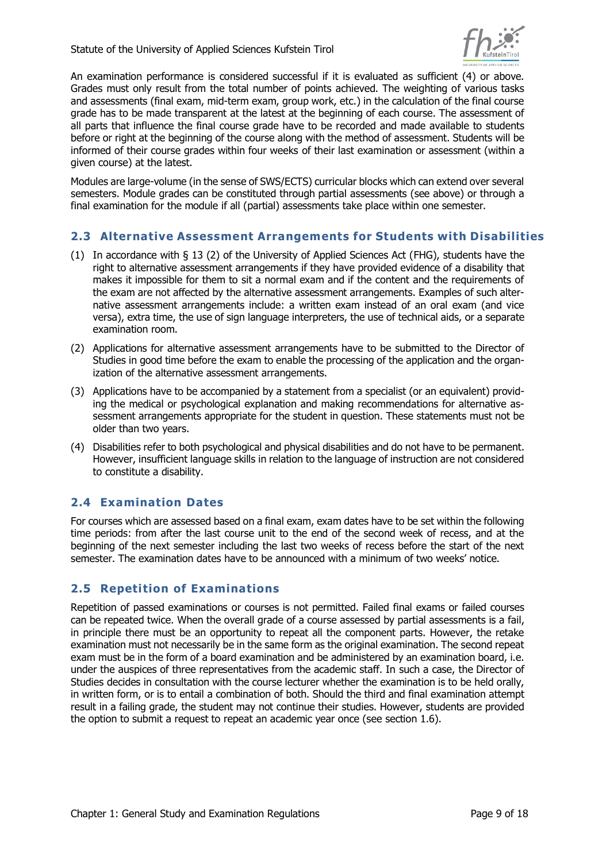

An examination performance is considered successful if it is evaluated as sufficient (4) or above. Grades must only result from the total number of points achieved. The weighting of various tasks and assessments (final exam, mid-term exam, group work, etc.) in the calculation of the final course grade has to be made transparent at the latest at the beginning of each course. The assessment of all parts that influence the final course grade have to be recorded and made available to students before or right at the beginning of the course along with the method of assessment. Students will be informed of their course grades within four weeks of their last examination or assessment (within a given course) at the latest.

Modules are large-volume (in the sense of SWS/ECTS) curricular blocks which can extend over several semesters. Module grades can be constituted through partial assessments (see above) or through a final examination for the module if all (partial) assessments take place within one semester.

#### <span id="page-8-0"></span>**2.3 Alternative Assessment Arrangements for Students with Disabilities**

- (1) In accordance with § 13 (2) of the University of Applied Sciences Act (FHG), students have the right to alternative assessment arrangements if they have provided evidence of a disability that makes it impossible for them to sit a normal exam and if the content and the requirements of the exam are not affected by the alternative assessment arrangements. Examples of such alternative assessment arrangements include: a written exam instead of an oral exam (and vice versa), extra time, the use of sign language interpreters, the use of technical aids, or a separate examination room.
- (2) Applications for alternative assessment arrangements have to be submitted to the Director of Studies in good time before the exam to enable the processing of the application and the organization of the alternative assessment arrangements.
- (3) Applications have to be accompanied by a statement from a specialist (or an equivalent) providing the medical or psychological explanation and making recommendations for alternative assessment arrangements appropriate for the student in question. These statements must not be older than two years.
- (4) Disabilities refer to both psychological and physical disabilities and do not have to be permanent. However, insufficient language skills in relation to the language of instruction are not considered to constitute a disability.

#### <span id="page-8-1"></span>**2.4 Examination Dates**

For courses which are assessed based on a final exam, exam dates have to be set within the following time periods: from after the last course unit to the end of the second week of recess, and at the beginning of the next semester including the last two weeks of recess before the start of the next semester. The examination dates have to be announced with a minimum of two weeks' notice.

#### <span id="page-8-2"></span>**2.5 Repetition of Examinations**

Repetition of passed examinations or courses is not permitted. Failed final exams or failed courses can be repeated twice. When the overall grade of a course assessed by partial assessments is a fail, in principle there must be an opportunity to repeat all the component parts. However, the retake examination must not necessarily be in the same form as the original examination. The second repeat exam must be in the form of a board examination and be administered by an examination board, i.e. under the auspices of three representatives from the academic staff. In such a case, the Director of Studies decides in consultation with the course lecturer whether the examination is to be held orally, in written form, or is to entail a combination of both. Should the third and final examination attempt result in a failing grade, the student may not continue their studies. However, students are provided the option to submit a request to repeat an academic year once (see section 1.6).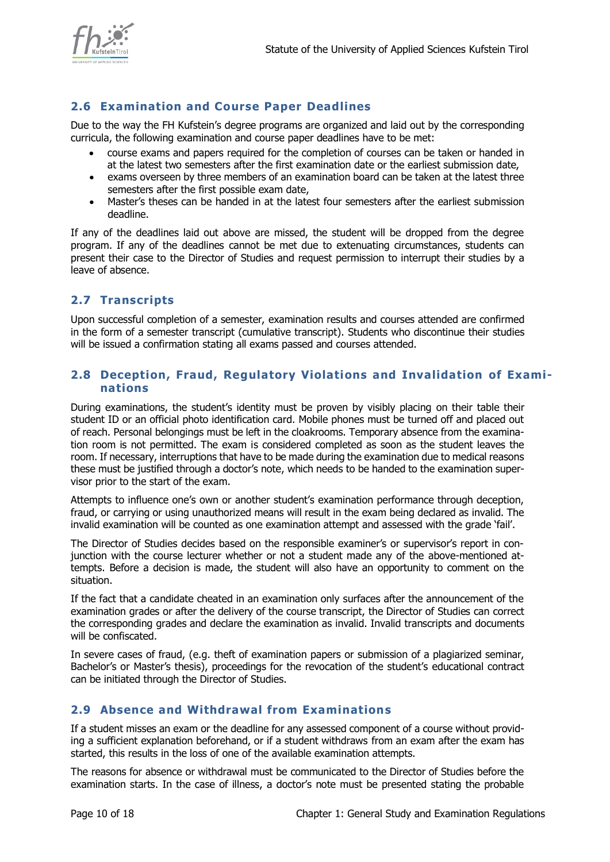

## <span id="page-9-0"></span>**2.6 Examination and Course Paper Deadlines**

Due to the way the FH Kufstein's degree programs are organized and laid out by the corresponding curricula, the following examination and course paper deadlines have to be met:

- course exams and papers required for the completion of courses can be taken or handed in at the latest two semesters after the first examination date or the earliest submission date,
- exams overseen by three members of an examination board can be taken at the latest three semesters after the first possible exam date,
- Master's theses can be handed in at the latest four semesters after the earliest submission deadline.

If any of the deadlines laid out above are missed, the student will be dropped from the degree program. If any of the deadlines cannot be met due to extenuating circumstances, students can present their case to the Director of Studies and request permission to interrupt their studies by a leave of absence.

#### <span id="page-9-1"></span>**2.7 Transcripts**

Upon successful completion of a semester, examination results and courses attended are confirmed in the form of a semester transcript (cumulative transcript). Students who discontinue their studies will be issued a confirmation stating all exams passed and courses attended.

#### <span id="page-9-2"></span>**2.8 Deception, Fraud, Regulatory Violations and Invalidation of Examinations**

During examinations, the student's identity must be proven by visibly placing on their table their student ID or an official photo identification card. Mobile phones must be turned off and placed out of reach. Personal belongings must be left in the cloakrooms. Temporary absence from the examination room is not permitted. The exam is considered completed as soon as the student leaves the room. If necessary, interruptions that have to be made during the examination due to medical reasons these must be justified through a doctor's note, which needs to be handed to the examination supervisor prior to the start of the exam.

Attempts to influence one's own or another student's examination performance through deception, fraud, or carrying or using unauthorized means will result in the exam being declared as invalid. The invalid examination will be counted as one examination attempt and assessed with the grade 'fail'.

The Director of Studies decides based on the responsible examiner's or supervisor's report in conjunction with the course lecturer whether or not a student made any of the above-mentioned attempts. Before a decision is made, the student will also have an opportunity to comment on the situation.

If the fact that a candidate cheated in an examination only surfaces after the announcement of the examination grades or after the delivery of the course transcript, the Director of Studies can correct the corresponding grades and declare the examination as invalid. Invalid transcripts and documents will be confiscated.

In severe cases of fraud, (e.g. theft of examination papers or submission of a plagiarized seminar, Bachelor's or Master's thesis), proceedings for the revocation of the student's educational contract can be initiated through the Director of Studies.

## <span id="page-9-3"></span>**2.9 Absence and Withdrawal from Examinations**

If a student misses an exam or the deadline for any assessed component of a course without providing a sufficient explanation beforehand, or if a student withdraws from an exam after the exam has started, this results in the loss of one of the available examination attempts.

The reasons for absence or withdrawal must be communicated to the Director of Studies before the examination starts. In the case of illness, a doctor's note must be presented stating the probable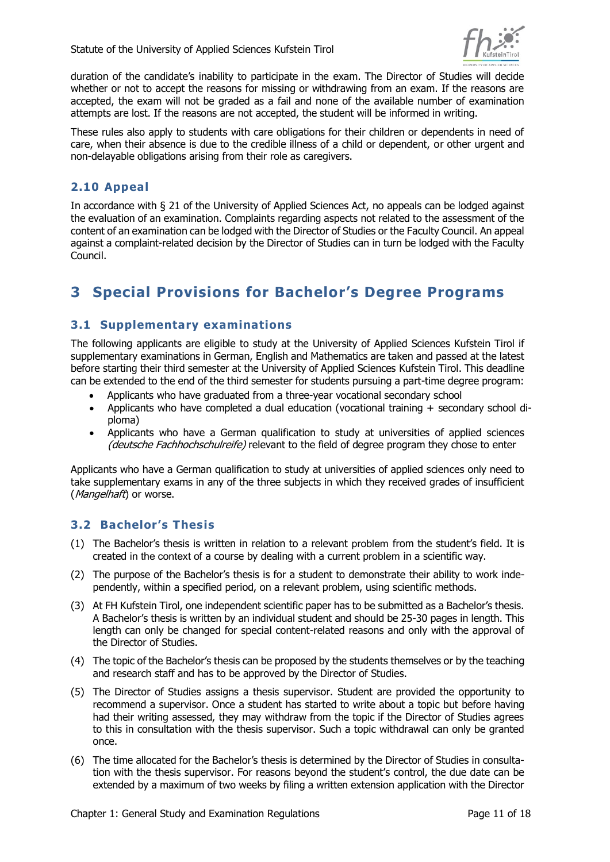

duration of the candidate's inability to participate in the exam. The Director of Studies will decide whether or not to accept the reasons for missing or withdrawing from an exam. If the reasons are accepted, the exam will not be graded as a fail and none of the available number of examination attempts are lost. If the reasons are not accepted, the student will be informed in writing.

These rules also apply to students with care obligations for their children or dependents in need of care, when their absence is due to the credible illness of a child or dependent, or other urgent and non-delayable obligations arising from their role as caregivers.

## <span id="page-10-0"></span>**2.10 Appeal**

In accordance with § 21 of the University of Applied Sciences Act, no appeals can be lodged against the evaluation of an examination. Complaints regarding aspects not related to the assessment of the content of an examination can be lodged with the Director of Studies or the Faculty Council. An appeal against a complaint-related decision by the Director of Studies can in turn be lodged with the Faculty Council.

# <span id="page-10-1"></span>**3 Special Provisions for Bachelor's Degree Programs**

#### <span id="page-10-2"></span>**3.1 Supplementary examinations**

The following applicants are eligible to study at the University of Applied Sciences Kufstein Tirol if supplementary examinations in German, English and Mathematics are taken and passed at the latest before starting their third semester at the University of Applied Sciences Kufstein Tirol. This deadline can be extended to the end of the third semester for students pursuing a part-time degree program:

- Applicants who have graduated from a three-year vocational secondary school
- Applicants who have completed a dual education (vocational training + secondary school diploma)
- Applicants who have a German qualification to study at universities of applied sciences (deutsche Fachhochschulreife) relevant to the field of degree program they chose to enter

Applicants who have a German qualification to study at universities of applied sciences only need to take supplementary exams in any of the three subjects in which they received grades of insufficient (*Mangelhaft*) or worse.

#### <span id="page-10-3"></span>**3.2 Bachelor's Thesis**

- (1) The Bachelor's thesis is written in relation to a relevant [problem](https://www.dict.cc/englisch-deutsch/problem.html) from the student's field. It is created [in](https://www.dict.cc/englisch-deutsch/in.html) [the](https://www.dict.cc/englisch-deutsch/the.html) [context](https://www.dict.cc/englisch-deutsch/context.html) [of](https://www.dict.cc/englisch-deutsch/of.html) a course by dealing with a current [problem](https://www.dict.cc/englisch-deutsch/problem.html) in a scientific way.
- (2) The purpose of the Bachelor's thesis is for a student to demonstrate their ability to work independently, within a specified period, on a relevant problem, using scientific methods.
- (3) At FH Kufstein Tirol, one independent scientific paper has to be submitted as a Bachelor's thesis. A Bachelor's thesis is written by an individual student and should be 25-30 pages in length. This length can only be changed for special content-related reasons and only with the approval of the Director of Studies.
- (4) The topic of the Bachelor's thesis can be proposed by the students themselves or by the teaching and research staff and has to be approved by the Director of Studies.
- (5) The Director of Studies assigns a thesis supervisor. Student are provided the opportunity to recommend a supervisor. Once a student has started to write about a topic but before having had their writing assessed, they may withdraw from the topic if the Director of Studies agrees to this in consultation with the thesis supervisor. Such a topic withdrawal can only be granted once.
- (6) The time allocated for the Bachelor's thesis is determined by the Director of Studies in consultation with the thesis supervisor. For reasons beyond the student's control, the due date can be extended by a maximum of two weeks by filing a written extension application with the Director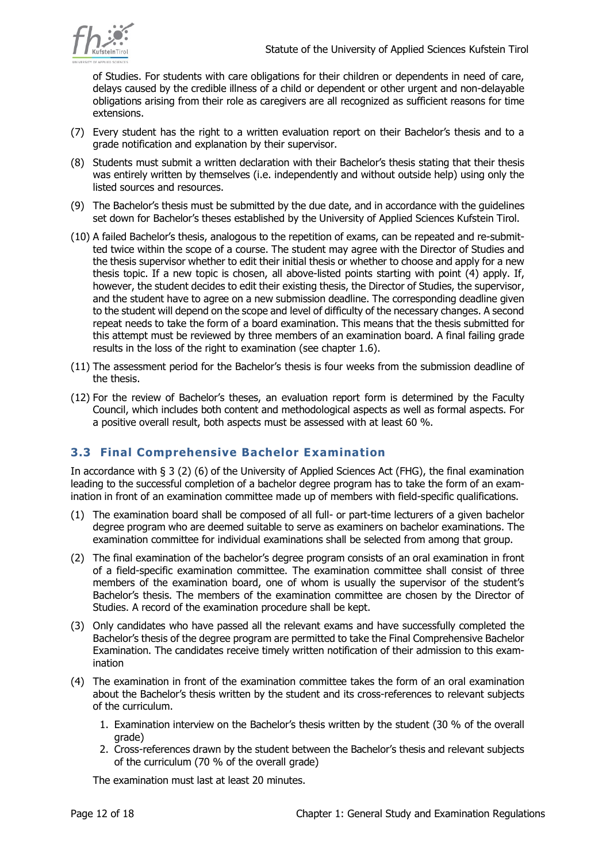

of Studies. For students with care obligations for their children or dependents in need of care, delays caused by the credible illness of a child or dependent or other urgent and non-delayable obligations arising from their role as caregivers are all recognized as sufficient reasons for time extensions.

- (7) Every student has the right to a written evaluation report on their Bachelor's thesis and to a grade notification and explanation by their supervisor.
- (8) Students must submit a written declaration with their Bachelor's thesis stating that their thesis was entirely written by themselves (i.e. independently and without outside help) using only the listed sources and resources.
- (9) The Bachelor's thesis must be submitted by the due date, and in accordance with the guidelines set down for Bachelor's theses established by the University of Applied Sciences Kufstein Tirol.
- (10) A failed Bachelor's thesis, analogous to the repetition of exams, can be repeated and re-submitted twice within the scope of a course. The student may agree with the Director of Studies and the thesis supervisor whether to edit their initial thesis or whether to choose and apply for a new thesis topic. If a new topic is chosen, all above-listed points starting with point (4) apply. If, however, the student decides to edit their existing thesis, the Director of Studies, the supervisor, and the student have to agree on a new submission deadline. The corresponding deadline given to the student will depend on the scope and level of difficulty of the necessary changes. A second repeat needs to take the form of a board examination. This means that the thesis submitted for this attempt must be reviewed by three members of an examination board. A final failing grade results in the loss of the right to examination (see chapter 1.6).
- (11) The assessment period for the Bachelor's thesis is four weeks from the submission deadline of the thesis.
- (12) For the review of Bachelor's theses, an evaluation report form is determined by the Faculty Council, which includes both content and methodological aspects as well as formal aspects. For a positive overall result, both aspects must be assessed with at least 60 %.

## <span id="page-11-0"></span>**3.3 Final Comprehensive Bachelor Examination**

In accordance with § 3 (2) (6) of the University of Applied Sciences Act (FHG), the final examination leading to the successful completion of a bachelor degree program has to take the form of an examination in front of an examination committee made up of members with field-specific qualifications.

- (1) The examination board shall be composed of all full- or part-time lecturers of a given bachelor degree program who are deemed suitable to serve as examiners on bachelor examinations. The examination committee for individual examinations shall be selected from among that group.
- (2) The final examination of the bachelor's degree program consists of an oral examination in front of a field-specific examination committee. The examination committee shall consist of three members of the examination board, one of whom is usually the supervisor of the student's Bachelor's thesis. The members of the examination committee are chosen by the Director of Studies. A record of the examination procedure shall be kept.
- (3) Only candidates who have passed all the relevant exams and have successfully completed the Bachelor's thesis of the degree program are permitted to take the Final Comprehensive Bachelor Examination. The candidates receive timely written notification of their admission to this examination
- (4) The examination in front of the examination committee takes the form of an oral examination about the Bachelor's thesis written by the student and its cross-references to relevant subjects of the curriculum.
	- 1. Examination interview on the Bachelor's thesis written by the student (30 % of the overall grade)
	- 2. Cross-references drawn by the student between the Bachelor's thesis and relevant subjects of the curriculum (70 % of the overall grade)

The examination must last at least 20 minutes.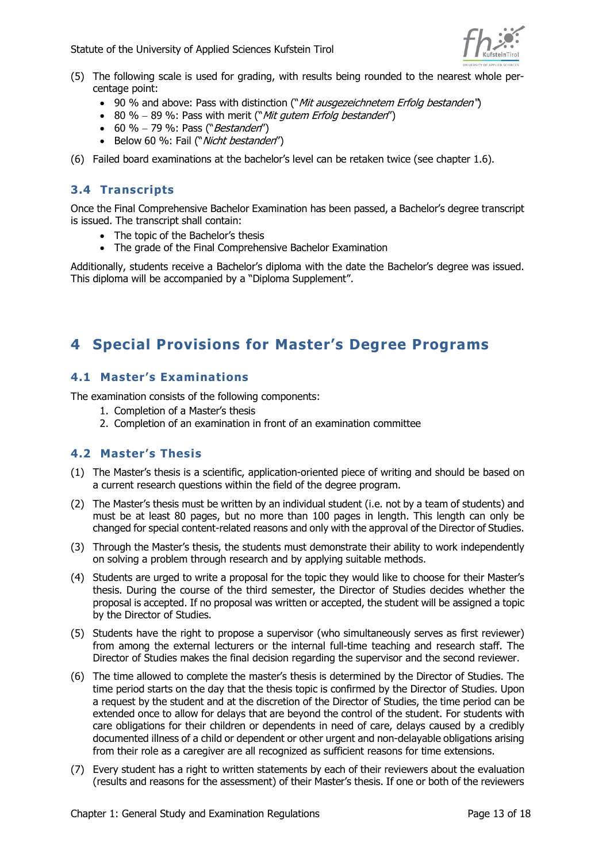

- (5) The following scale is used for grading, with results being rounded to the nearest whole percentage point:
	- 90 % and above: Pass with distinction ("Mit ausgezeichnetem Erfolg bestanden")
	- 80 % 89 %: Pass with merit ("Mit gutem Erfolg bestanden")
	- 60 % 79 %: Pass ("*Bestanden"*)
	- Below 60 %: Fail ("Nicht bestanden")

(6) Failed board examinations at the bachelor's level can be retaken twice (see chapter 1.6).

#### <span id="page-12-0"></span>**3.4 Transcripts**

Once the Final Comprehensive Bachelor Examination has been passed, a Bachelor's degree transcript is issued. The transcript shall contain:

- The topic of the Bachelor's thesis
- The grade of the Final Comprehensive Bachelor Examination

Additionally, students receive a Bachelor's diploma with the date the Bachelor's degree was issued. This diploma will be accompanied by a "Diploma Supplement".

## <span id="page-12-1"></span>**4 Special Provisions for Master's Degree Programs**

#### <span id="page-12-2"></span>**4.1 Master's Examinations**

The examination consists of the following components:

- 1. Completion of a Master's thesis
- 2. Completion of an examination in front of an examination committee

#### <span id="page-12-3"></span>**4.2 Master's Thesis**

- (1) The Master's thesis is a scientific, application-oriented piece of writing and should be based on a current research questions within the field of the degree program.
- (2) The Master's thesis must be written by an individual student (i.e. not by a team of students) and must be at least 80 pages, but no more than 100 pages in length. This length can only be changed for special content-related reasons and only with the approval of the Director of Studies.
- (3) Through the Master's thesis, the students must demonstrate their ability to work independently on solving a problem through research and by applying suitable methods.
- (4) Students are urged to write a proposal for the topic they would like to choose for their Master's thesis. During the course of the third semester, the Director of Studies decides whether the proposal is accepted. If no proposal was written or accepted, the student will be assigned a topic by the Director of Studies.
- (5) Students have the right to propose a supervisor (who simultaneously serves as first reviewer) from among the external lecturers or the internal full-time teaching and research staff. The Director of Studies makes the final decision regarding the supervisor and the second reviewer.
- (6) The time allowed to complete the master's thesis is determined by the Director of Studies. The time period starts on the day that the thesis topic is confirmed by the Director of Studies. Upon a request by the student and at the discretion of the Director of Studies, the time period can be extended once to allow for delays that are beyond the control of the student. For students with care obligations for their children or dependents in need of care, delays caused by a credibly documented illness of a child or dependent or other urgent and non-delayable obligations arising from their role as a caregiver are all recognized as sufficient reasons for time extensions.
- (7) Every student has a right to written statements by each of their reviewers about the evaluation (results and reasons for the assessment) of their Master's thesis. If one or both of the reviewers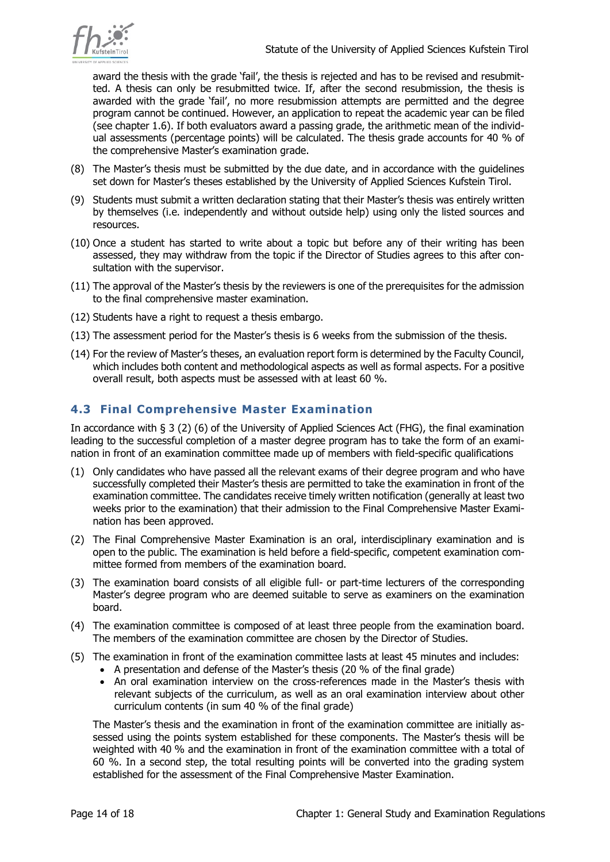

award the thesis with the grade 'fail', the thesis is rejected and has to be revised and resubmitted. A thesis can only be resubmitted twice. If, after the second resubmission, the thesis is awarded with the grade 'fail', no more resubmission attempts are permitted and the degree program cannot be continued. However, an application to repeat the academic year can be filed (see chapter 1.6). If both evaluators award a passing grade, the arithmetic mean of the individual assessments (percentage points) will be calculated. The thesis grade accounts for 40 % of the comprehensive Master's examination grade.

- (8) The Master's thesis must be submitted by the due date, and in accordance with the guidelines set down for Master's theses established by the University of Applied Sciences Kufstein Tirol.
- (9) Students must submit a written declaration stating that their Master's thesis was entirely written by themselves (i.e. independently and without outside help) using only the listed sources and resources.
- (10) Once a student has started to write about a topic but before any of their writing has been assessed, they may withdraw from the topic if the Director of Studies agrees to this after consultation with the supervisor.
- (11) The approval of the Master's thesis by the reviewers is one of the prerequisites for the admission to the final comprehensive master examination.
- (12) Students have a right to request a thesis embargo.
- (13) The assessment period for the Master's thesis is 6 weeks from the submission of the thesis.
- (14) For the review of Master's theses, an evaluation report form is determined by the Faculty Council, which includes both content and methodological aspects as well as formal aspects. For a positive overall result, both aspects must be assessed with at least 60 %.

## <span id="page-13-0"></span>**4.3 Final Comprehensive Master Examination**

In accordance with § 3 (2) (6) of the University of Applied Sciences Act (FHG), the final examination leading to the successful completion of a master degree program has to take the form of an examination in front of an examination committee made up of members with field-specific qualifications

- (1) Only candidates who have passed all the relevant exams of their degree program and who have successfully completed their Master's thesis are permitted to take the examination in front of the examination committee. The candidates receive timely written notification (generally at least two weeks prior to the examination) that their admission to the Final Comprehensive Master Examination has been approved.
- (2) The Final Comprehensive Master Examination is an oral, interdisciplinary examination and is open to the public. The examination is held before a field-specific, competent examination committee formed from members of the examination board.
- (3) The examination board consists of all eligible full- or part-time lecturers of the corresponding Master's degree program who are deemed suitable to serve as examiners on the examination board.
- (4) The examination committee is composed of at least three people from the examination board. The members of the examination committee are chosen by the Director of Studies.
- (5) The examination in front of the examination committee lasts at least 45 minutes and includes:
	- A presentation and defense of the Master's thesis (20 % of the final grade)
	- An oral examination interview on the cross-references made in the Master's thesis with relevant subjects of the curriculum, as well as an oral examination interview about other curriculum contents (in sum 40 % of the final grade)

The Master's thesis and the examination in front of the examination committee are initially assessed using the points system established for these components. The Master's thesis will be weighted with 40 % and the examination in front of the examination committee with a total of 60 %. In a second step, the total resulting points will be converted into the grading system established for the assessment of the Final Comprehensive Master Examination.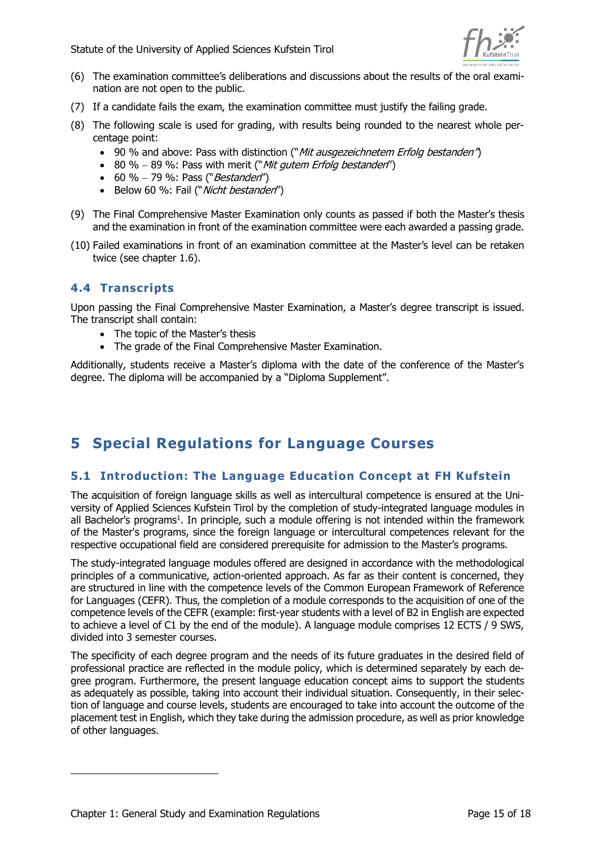

- (6) The examination committee's deliberations and discussions about the results of the oral examination are not open to the public.
- (7) If a candidate fails the exam, the examination committee must justify the failing grade.
- (8) The following scale is used for grading, with results being rounded to the nearest whole percentage point:
	- 90 % and above: Pass with distinction ("Mit ausgezeichnetem Erfolg bestanden")
	- 80 % 89 %: Pass with merit ("Mit gutem Erfolg bestanden")
	- 60 % 79 %: Pass ("Bestanden")
	- Below 60 %: Fail ("Nicht bestanden")
- (9) The Final Comprehensive Master Examination only counts as passed if both the Master's thesis and the examination in front of the examination committee were each awarded a passing grade.
- (10) Failed examinations in front of an examination committee at the Master's level can be retaken twice (see chapter 1.6).

#### <span id="page-14-0"></span>**4.4 Transcripts**

Upon passing the Final Comprehensive Master Examination, a Master's degree transcript is issued. The transcript shall contain:

- The topic of the Master's thesis
- The grade of the Final Comprehensive Master Examination.

Additionally, students receive a Master's diploma with the date of the conference of the Master's degree. The diploma will be accompanied by a "Diploma Supplement".

# <span id="page-14-1"></span>**5 Special Regulations for Language Courses**

## <span id="page-14-2"></span>**5.1 Introduction: The Language Education Concept at FH Kufstein**

The acquisition of foreign language skills as well as intercultural competence is ensured at the University of Applied Sciences Kufstein Tirol by the completion of study-integrated language modules in all Bachelor's programs<sup>1</sup>. In principle, such a module offering is not intended within the framework of the Master's programs, since the foreign language or intercultural competences relevant for the respective occupational field are considered prerequisite for admission to the Master's programs.

The study-integrated language modules offered are designed in accordance with the methodological principles of a communicative, action-oriented approach. As far as their content is concerned, they are structured in line with the competence levels of the Common European Framework of Reference for Languages (CEFR). Thus, the completion of a module corresponds to the acquisition of one of the competence levels of the CEFR (example: first-year students with a level of B2 in English are expected to achieve a level of C1 by the end of the module). A language module comprises 12 ECTS / 9 SWS, divided into 3 semester courses.

The specificity of each degree program and the needs of its future graduates in the desired field of professional practice are reflected in the module policy, which is determined separately by each degree program. Furthermore, the present language education concept aims to support the students as adequately as possible, taking into account their individual situation. Consequently, in their selection of language and course levels, students are encouraged to take into account the outcome of the placement test in English, which they take during the admission procedure, as well as prior knowledge of other languages.

-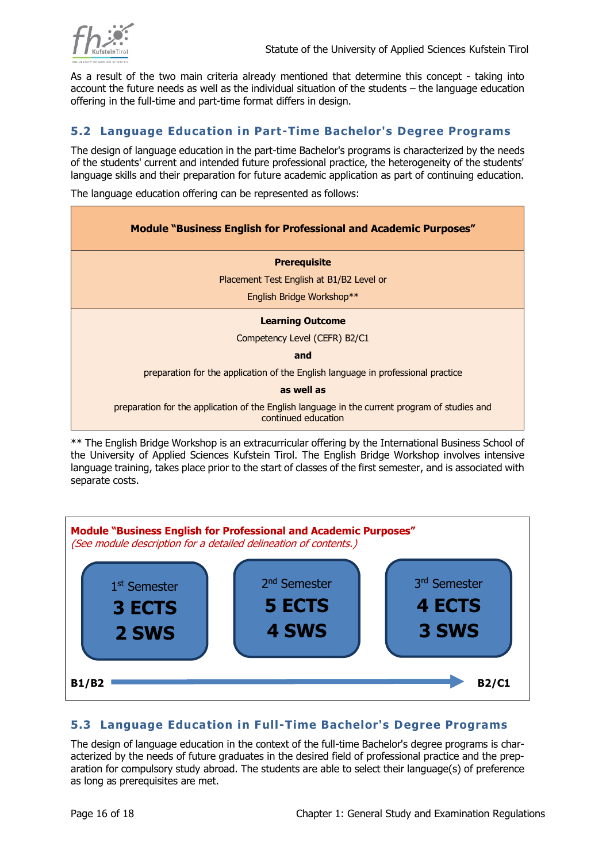

As a result of the two main criteria already mentioned that determine this concept - taking into account the future needs as well as the individual situation of the students – the language education offering in the full-time and part-time format differs in design.

#### <span id="page-15-0"></span>**5.2 Language Education in Part-Time Bachelor's Degree Programs**

The design of language education in the part-time Bachelor's programs is characterized by the needs of the students' current and intended future professional practice, the heterogeneity of the students' language skills and their preparation for future academic application as part of continuing education.

The language education offering can be represented as follows:

| <b>Module "Business English for Professional and Academic Purposes"</b>                                              |  |  |  |
|----------------------------------------------------------------------------------------------------------------------|--|--|--|
| <b>Prerequisite</b>                                                                                                  |  |  |  |
| Placement Test English at B1/B2 Level or                                                                             |  |  |  |
| English Bridge Workshop**                                                                                            |  |  |  |
| <b>Learning Outcome</b>                                                                                              |  |  |  |
| Competency Level (CEFR) B2/C1                                                                                        |  |  |  |
| and                                                                                                                  |  |  |  |
| preparation for the application of the English language in professional practice                                     |  |  |  |
| as well as                                                                                                           |  |  |  |
| preparation for the application of the English language in the current program of studies and<br>continued education |  |  |  |

\*\* The English Bridge Workshop is an extracurricular offering by the International Business School of the University of Applied Sciences Kufstein Tirol. The English Bridge Workshop involves intensive language training, takes place prior to the start of classes of the first semester, and is associated with separate costs.



## <span id="page-15-1"></span>**5.3 Language Education in Full-Time Bachelor's Degree Programs**

The design of language education in the context of the full-time Bachelor's degree programs is characterized by the needs of future graduates in the desired field of professional practice and the preparation for compulsory study abroad. The students are able to select their language(s) of preference as long as prerequisites are met.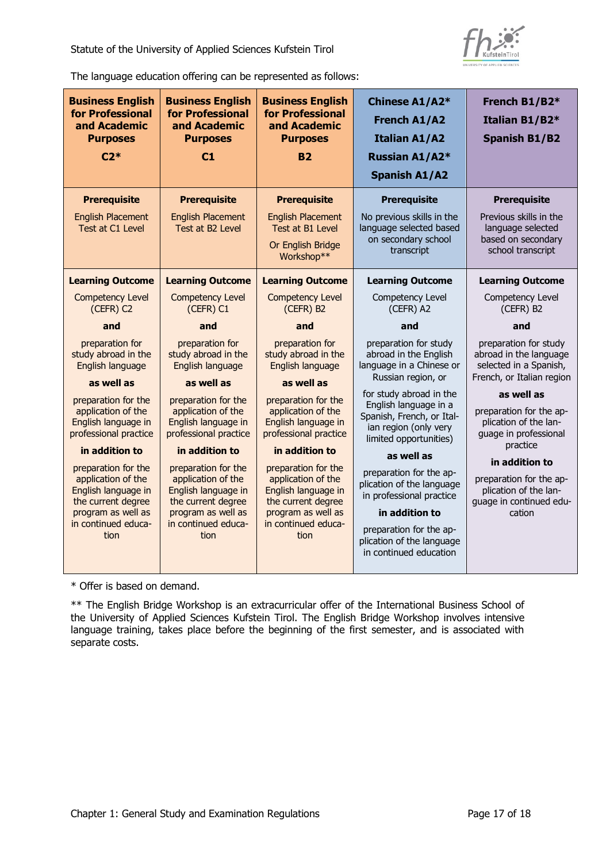

The language education offering can be represented as follows:

| <b>Business English</b><br>for Professional<br>and Academic<br><b>Purposes</b><br>$C2*$                      | <b>Business English</b><br>for Professional<br>and Academic<br><b>Purposes</b><br>C1                         | <b>Business English</b><br>for Professional<br>and Academic<br><b>Purposes</b><br><b>B2</b>                  | Chinese A1/A2*<br><b>French A1/A2</b><br><b>Italian A1/A2</b><br>Russian A1/A2*<br><b>Spanish A1/A2</b>                          | French B1/B2*<br>Italian B1/B2*<br><b>Spanish B1/B2</b>                                                 |
|--------------------------------------------------------------------------------------------------------------|--------------------------------------------------------------------------------------------------------------|--------------------------------------------------------------------------------------------------------------|----------------------------------------------------------------------------------------------------------------------------------|---------------------------------------------------------------------------------------------------------|
| <b>Prerequisite</b><br><b>English Placement</b><br>Test at C1 Level                                          | <b>Prerequisite</b><br><b>English Placement</b><br>Test at B2 Level                                          | <b>Prerequisite</b><br><b>English Placement</b><br>Test at B1 Level                                          | <b>Prerequisite</b><br>No previous skills in the<br>language selected based                                                      | <b>Prerequisite</b><br>Previous skills in the<br>language selected                                      |
|                                                                                                              |                                                                                                              | Or English Bridge<br>Workshop**                                                                              | on secondary school<br>transcript                                                                                                | based on secondary<br>school transcript                                                                 |
| <b>Learning Outcome</b>                                                                                      | <b>Learning Outcome</b>                                                                                      | <b>Learning Outcome</b>                                                                                      | <b>Learning Outcome</b>                                                                                                          | <b>Learning Outcome</b>                                                                                 |
| <b>Competency Level</b><br>(CEFR) C2                                                                         | <b>Competency Level</b><br>(CEFR) C1                                                                         | <b>Competency Level</b><br>(CEFR) B2                                                                         | Competency Level<br>(CEFR) A2                                                                                                    | Competency Level<br>(CEFR) B2                                                                           |
| and                                                                                                          | and                                                                                                          | and                                                                                                          | and                                                                                                                              | and                                                                                                     |
| preparation for<br>study abroad in the<br>English language                                                   | preparation for<br>study abroad in the<br>English language                                                   | preparation for<br>study abroad in the<br>English language                                                   | preparation for study<br>abroad in the English<br>language in a Chinese or                                                       | preparation for study<br>abroad in the language<br>selected in a Spanish,                               |
| as well as                                                                                                   | as well as                                                                                                   | as well as                                                                                                   | Russian region, or                                                                                                               | French, or Italian region                                                                               |
| preparation for the<br>application of the<br>English language in<br>professional practice                    | preparation for the<br>application of the<br>English language in<br>professional practice                    | preparation for the<br>application of the<br>English language in<br>professional practice                    | for study abroad in the<br>English language in a<br>Spanish, French, or Ital-<br>ian region (only very<br>limited opportunities) | as well as<br>preparation for the ap-<br>plication of the lan-<br>guage in professional                 |
| in addition to                                                                                               | in addition to                                                                                               | in addition to                                                                                               | as well as                                                                                                                       | practice                                                                                                |
| preparation for the<br>application of the<br>English language in<br>the current degree<br>program as well as | preparation for the<br>application of the<br>English language in<br>the current degree<br>program as well as | preparation for the<br>application of the<br>English language in<br>the current degree<br>program as well as | preparation for the ap-<br>plication of the language<br>in professional practice<br>in addition to                               | in addition to<br>preparation for the ap-<br>plication of the lan-<br>quage in continued edu-<br>cation |
| in continued educa-<br>tion                                                                                  | in continued educa-<br>tion                                                                                  | in continued educa-<br>tion                                                                                  | preparation for the ap-<br>plication of the language<br>in continued education                                                   |                                                                                                         |

\* Offer is based on demand.

\*\* The English Bridge Workshop is an extracurricular offer of the International Business School of the University of Applied Sciences Kufstein Tirol. The English Bridge Workshop involves intensive language training, takes place before the beginning of the first semester, and is associated with separate costs.